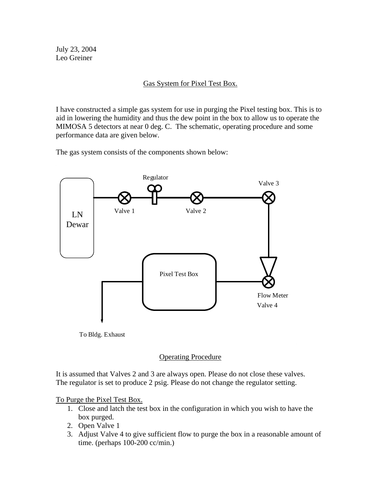July 23, 2004 Leo Greiner

## Gas System for Pixel Test Box.

I have constructed a simple gas system for use in purging the Pixel testing box. This is to aid in lowering the humidity and thus the dew point in the box to allow us to operate the MIMOSA 5 detectors at near 0 deg. C. The schematic, operating procedure and some performance data are given below.

The gas system consists of the components shown below:



To Bldg. Exhaust

## Operating Procedure

It is assumed that Valves 2 and 3 are always open. Please do not close these valves. The regulator is set to produce 2 psig. Please do not change the regulator setting.

To Purge the Pixel Test Box.

- 1. Close and latch the test box in the configuration in which you wish to have the box purged.
- 2. Open Valve 1
- 3. Adjust Valve 4 to give sufficient flow to purge the box in a reasonable amount of time. (perhaps 100-200 cc/min.)